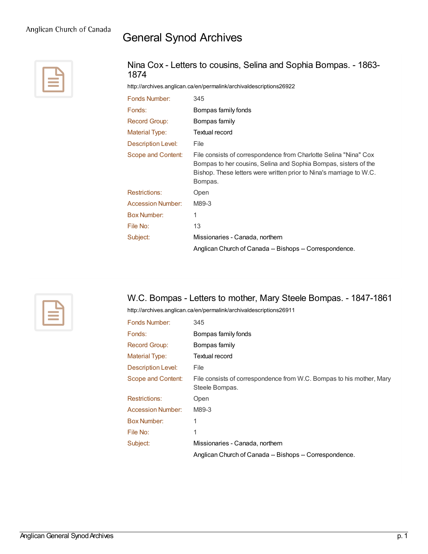# General Synod Archives



#### Nina Cox - Letters to cousins, Selina and Sophia Bompas. - 1863- 1874

<http://archives.anglican.ca/en/permalink/archivaldescriptions26922>

| Fonds Number:            | 345                                                                                                                                                                                                                   |
|--------------------------|-----------------------------------------------------------------------------------------------------------------------------------------------------------------------------------------------------------------------|
| Fonds:                   | Bompas family fonds                                                                                                                                                                                                   |
| <b>Record Group:</b>     | Bompas family                                                                                                                                                                                                         |
| Material Type:           | Textual record                                                                                                                                                                                                        |
| Description Level:       | File                                                                                                                                                                                                                  |
| Scope and Content:       | File consists of correspondence from Charlotte Selina "Nina" Cox<br>Bompas to her cousins, Selina and Sophia Bompas, sisters of the<br>Bishop. These letters were written prior to Nina's marriage to W.C.<br>Bompas. |
| <b>Restrictions:</b>     | Open                                                                                                                                                                                                                  |
| <b>Accession Number:</b> | M89-3                                                                                                                                                                                                                 |
| <b>Box Number:</b>       | 1                                                                                                                                                                                                                     |
| File No:                 | 13                                                                                                                                                                                                                    |
| Subject:                 | Missionaries - Canada, northern                                                                                                                                                                                       |
|                          | Anglican Church of Canada -- Bishops -- Correspondence.                                                                                                                                                               |



# W.C. Bompas - Letters to mother, Mary Steele Bompas. - 1847-1861

<http://archives.anglican.ca/en/permalink/archivaldescriptions26911>

| Fonds Number:             | 345                                                                                    |
|---------------------------|----------------------------------------------------------------------------------------|
| Fonds:                    | Bompas family fonds                                                                    |
| <b>Record Group:</b>      | Bompas family                                                                          |
| Material Type:            | <b>Textual record</b>                                                                  |
| <b>Description Level:</b> | File                                                                                   |
| Scope and Content:        | File consists of correspondence from W.C. Bompas to his mother, Mary<br>Steele Bompas. |
| <b>Restrictions:</b>      | Open                                                                                   |
| <b>Accession Number:</b>  | M89-3                                                                                  |
| <b>Box Number:</b>        | 1                                                                                      |
| File No:                  | 1                                                                                      |
| Subject:                  | Missionaries - Canada, northern                                                        |
|                           | Anglican Church of Canada -- Bishops -- Correspondence.                                |